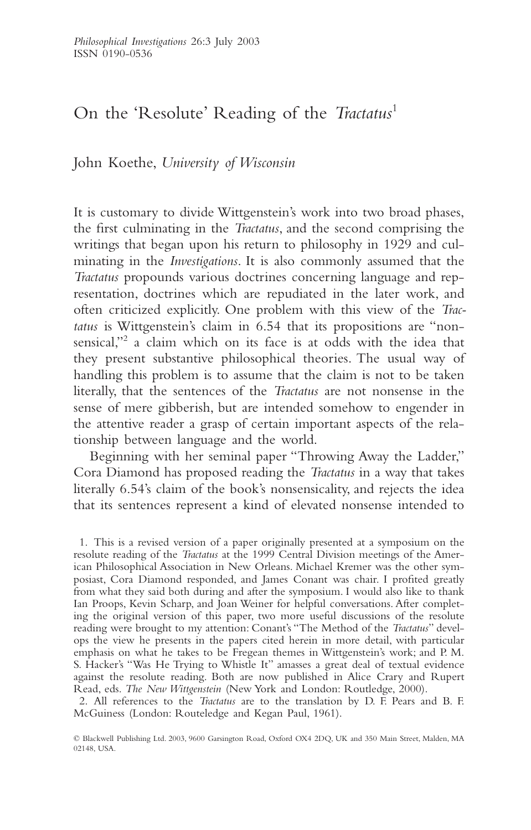## On the 'Resolute' Reading of the *Tractatus*<sup>1</sup>

John Koethe, *University of Wisconsin*

It is customary to divide Wittgenstein's work into two broad phases, the first culminating in the *Tractatus*, and the second comprising the writings that began upon his return to philosophy in 1929 and culminating in the *Investigations*. It is also commonly assumed that the *Tractatus* propounds various doctrines concerning language and representation, doctrines which are repudiated in the later work, and often criticized explicitly. One problem with this view of the *Tractatus* is Wittgenstein's claim in 6.54 that its propositions are "nonsensical,"<sup>2</sup> a claim which on its face is at odds with the idea that they present substantive philosophical theories. The usual way of handling this problem is to assume that the claim is not to be taken literally, that the sentences of the *Tractatus* are not nonsense in the sense of mere gibberish, but are intended somehow to engender in the attentive reader a grasp of certain important aspects of the relationship between language and the world.

Beginning with her seminal paper "Throwing Away the Ladder," Cora Diamond has proposed reading the *Tractatus* in a way that takes literally 6.54's claim of the book's nonsensicality, and rejects the idea that its sentences represent a kind of elevated nonsense intended to

1. This is a revised version of a paper originally presented at a symposium on the resolute reading of the *Tractatus* at the 1999 Central Division meetings of the American Philosophical Association in New Orleans. Michael Kremer was the other symposiast, Cora Diamond responded, and James Conant was chair. I profited greatly from what they said both during and after the symposium. I would also like to thank Ian Proops, Kevin Scharp, and Joan Weiner for helpful conversations. After completing the original version of this paper, two more useful discussions of the resolute reading were brought to my attention: Conant's "The Method of the *Tractatus*" develops the view he presents in the papers cited herein in more detail, with particular emphasis on what he takes to be Fregean themes in Wittgenstein's work; and P. M. S. Hacker's "Was He Trying to Whistle It" amasses a great deal of textual evidence against the resolute reading. Both are now published in Alice Crary and Rupert Read, eds. *The New Wittgenstein* (New York and London: Routledge, 2000).

2. All references to the *Tractatus* are to the translation by D. F. Pears and B. F. McGuiness (London: Routeledge and Kegan Paul, 1961).

<sup>©</sup> Blackwell Publishing Ltd. 2003, 9600 Garsington Road, Oxford OX4 2DQ, UK and 350 Main Street, Malden, MA 02148, USA.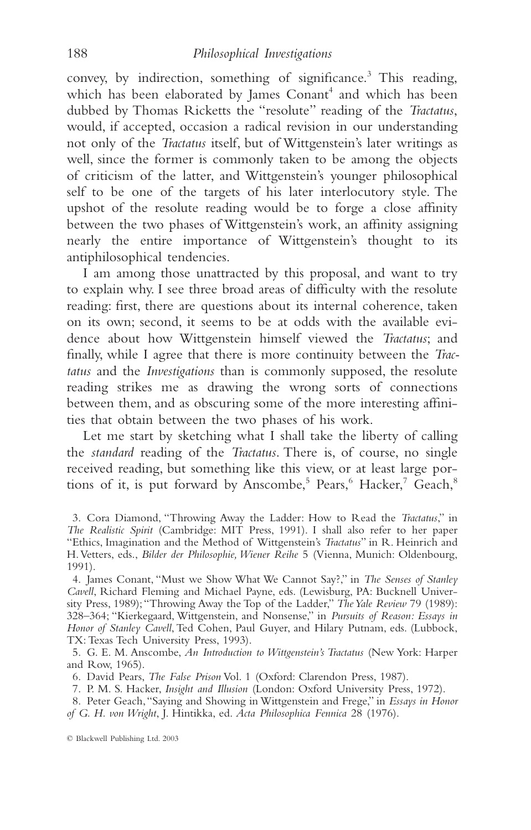convey, by indirection, something of significance.<sup>3</sup> This reading, which has been elaborated by James Conant<sup>4</sup> and which has been dubbed by Thomas Ricketts the "resolute" reading of the *Tractatus*, would, if accepted, occasion a radical revision in our understanding not only of the *Tractatus* itself, but of Wittgenstein's later writings as well, since the former is commonly taken to be among the objects of criticism of the latter, and Wittgenstein's younger philosophical self to be one of the targets of his later interlocutory style. The upshot of the resolute reading would be to forge a close affinity between the two phases of Wittgenstein's work, an affinity assigning nearly the entire importance of Wittgenstein's thought to its antiphilosophical tendencies.

I am among those unattracted by this proposal, and want to try to explain why. I see three broad areas of difficulty with the resolute reading: first, there are questions about its internal coherence, taken on its own; second, it seems to be at odds with the available evidence about how Wittgenstein himself viewed the *Tractatus*; and finally, while I agree that there is more continuity between the *Tractatus* and the *Investigations* than is commonly supposed, the resolute reading strikes me as drawing the wrong sorts of connections between them, and as obscuring some of the more interesting affinities that obtain between the two phases of his work.

Let me start by sketching what I shall take the liberty of calling the *standard* reading of the *Tractatus*. There is, of course, no single received reading, but something like this view, or at least large portions of it, is put forward by Anscombe,<sup>5</sup> Pears,<sup>6</sup> Hacker,<sup>7</sup> Geach,<sup>8</sup>

- 7. P. M. S. Hacker, *Insight and Illusion* (London: Oxford University Press, 1972).
- 8. Peter Geach,"Saying and Showing in Wittgenstein and Frege," in *Essays in Honor of G. H. von Wright*, J. Hintikka, ed. *Acta Philosophica Fennica* 28 (1976).

<sup>3.</sup> Cora Diamond, "Throwing Away the Ladder: How to Read the *Tractatus*," in *The Realistic Spirit* (Cambridge: MIT Press, 1991). I shall also refer to her paper "Ethics, Imagination and the Method of Wittgenstein's *Tractatus*" in R. Heinrich and H.Vetters, eds., *Bilder der Philosophie, Wiener Reihe* 5 (Vienna, Munich: Oldenbourg, 1991).

<sup>4.</sup> James Conant, "Must we Show What We Cannot Say?," in *The Senses of Stanley Cavell*, Richard Fleming and Michael Payne, eds. (Lewisburg, PA: Bucknell University Press, 1989);"Throwing Away the Top of the Ladder," *The Yale Review* 79 (1989): 328–364; "Kierkegaard, Wittgenstein, and Nonsense," in *Pursuits of Reason: Essays in Honor of Stanley Cavell*, Ted Cohen, Paul Guyer, and Hilary Putnam, eds. (Lubbock, TX: Texas Tech University Press, 1993).

<sup>5.</sup> G. E. M. Anscombe, *An Introduction to Wittgenstein's Tractatus* (New York: Harper and Row, 1965).

<sup>6.</sup> David Pears, *The False Prison* Vol. 1 (Oxford: Clarendon Press, 1987).

<sup>©</sup> Blackwell Publishing Ltd. 2003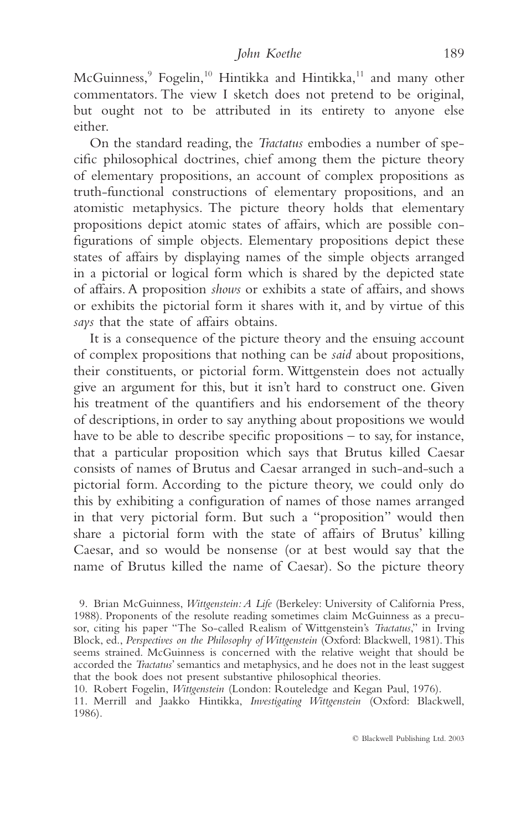McGuinness,<sup>9</sup> Fogelin,<sup>10</sup> Hintikka and Hintikka,<sup>11</sup> and many other commentators. The view I sketch does not pretend to be original, but ought not to be attributed in its entirety to anyone else either.

On the standard reading, the *Tractatus* embodies a number of specific philosophical doctrines, chief among them the picture theory of elementary propositions, an account of complex propositions as truth-functional constructions of elementary propositions, and an atomistic metaphysics. The picture theory holds that elementary propositions depict atomic states of affairs, which are possible configurations of simple objects. Elementary propositions depict these states of affairs by displaying names of the simple objects arranged in a pictorial or logical form which is shared by the depicted state of affairs. A proposition *shows* or exhibits a state of affairs, and shows or exhibits the pictorial form it shares with it, and by virtue of this *says* that the state of affairs obtains.

It is a consequence of the picture theory and the ensuing account of complex propositions that nothing can be *said* about propositions, their constituents, or pictorial form. Wittgenstein does not actually give an argument for this, but it isn't hard to construct one. Given his treatment of the quantifiers and his endorsement of the theory of descriptions, in order to say anything about propositions we would have to be able to describe specific propositions – to say, for instance, that a particular proposition which says that Brutus killed Caesar consists of names of Brutus and Caesar arranged in such-and-such a pictorial form. According to the picture theory, we could only do this by exhibiting a configuration of names of those names arranged in that very pictorial form. But such a "proposition" would then share a pictorial form with the state of affairs of Brutus' killing Caesar, and so would be nonsense (or at best would say that the name of Brutus killed the name of Caesar). So the picture theory

10. Robert Fogelin, *Wittgenstein* (London: Routeledge and Kegan Paul, 1976). 11. Merrill and Jaakko Hintikka, *Investigating Wittgenstein* (Oxford: Blackwell, 1986).

<sup>9.</sup> Brian McGuinness, *Wittgenstein: A Life* (Berkeley: University of California Press, 1988). Proponents of the resolute reading sometimes claim McGuinness as a precusor, citing his paper "The So-called Realism of Wittgenstein's *Tractatus*," in Irving Block, ed., *Perspectives on the Philosophy of Wittgenstein* (Oxford: Blackwell, 1981).This seems strained. McGuinness is concerned with the relative weight that should be accorded the *Tractatus*' semantics and metaphysics, and he does not in the least suggest that the book does not present substantive philosophical theories.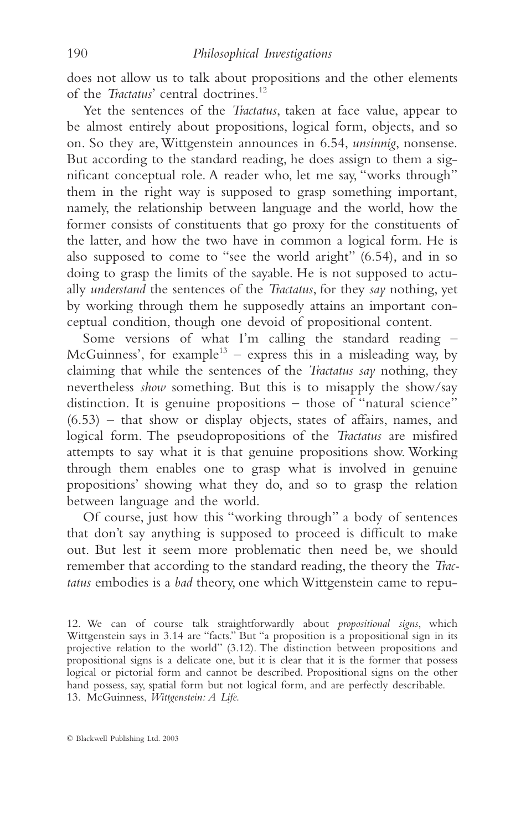does not allow us to talk about propositions and the other elements of the *Tractatus*' central doctrines.12

Yet the sentences of the *Tractatus*, taken at face value, appear to be almost entirely about propositions, logical form, objects, and so on. So they are, Wittgenstein announces in 6.54, *unsinnig*, nonsense. But according to the standard reading, he does assign to them a significant conceptual role. A reader who, let me say, "works through" them in the right way is supposed to grasp something important, namely, the relationship between language and the world, how the former consists of constituents that go proxy for the constituents of the latter, and how the two have in common a logical form. He is also supposed to come to "see the world aright" (6.54), and in so doing to grasp the limits of the sayable. He is not supposed to actually *understand* the sentences of the *Tractatus*, for they *say* nothing, yet by working through them he supposedly attains an important conceptual condition, though one devoid of propositional content.

Some versions of what I'm calling the standard reading – McGuinness', for example<sup>13</sup> – express this in a misleading way, by claiming that while the sentences of the *Tractatus say* nothing, they nevertheless *show* something. But this is to misapply the show/say distinction. It is genuine propositions – those of "natural science"  $(6.53)$  – that show or display objects, states of affairs, names, and logical form. The pseudopropositions of the *Tractatus* are misfired attempts to say what it is that genuine propositions show. Working through them enables one to grasp what is involved in genuine propositions' showing what they do, and so to grasp the relation between language and the world.

Of course, just how this "working through" a body of sentences that don't say anything is supposed to proceed is difficult to make out. But lest it seem more problematic then need be, we should remember that according to the standard reading, the theory the *Tractatus* embodies is a *bad* theory, one which Wittgenstein came to repu-

<sup>12.</sup> We can of course talk straightforwardly about *propositional signs*, which Wittgenstein says in 3.14 are "facts." But "a proposition is a propositional sign in its projective relation to the world" (3.12). The distinction between propositions and propositional signs is a delicate one, but it is clear that it is the former that possess logical or pictorial form and cannot be described. Propositional signs on the other hand possess, say, spatial form but not logical form, and are perfectly describable. 13. McGuinness, *Wittgenstein: A Life.*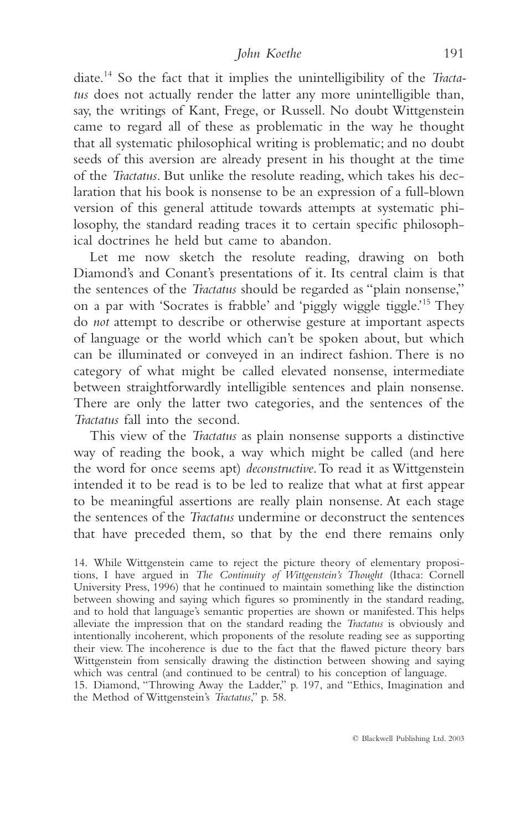diate.14 So the fact that it implies the unintelligibility of the *Tractatus* does not actually render the latter any more unintelligible than, say, the writings of Kant, Frege, or Russell. No doubt Wittgenstein came to regard all of these as problematic in the way he thought that all systematic philosophical writing is problematic; and no doubt seeds of this aversion are already present in his thought at the time of the *Tractatus*. But unlike the resolute reading, which takes his declaration that his book is nonsense to be an expression of a full-blown version of this general attitude towards attempts at systematic philosophy, the standard reading traces it to certain specific philosophical doctrines he held but came to abandon.

Let me now sketch the resolute reading, drawing on both Diamond's and Conant's presentations of it. Its central claim is that the sentences of the *Tractatus* should be regarded as "plain nonsense," on a par with 'Socrates is frabble' and 'piggly wiggle tiggle.'<sup>15</sup> They do *not* attempt to describe or otherwise gesture at important aspects of language or the world which can't be spoken about, but which can be illuminated or conveyed in an indirect fashion. There is no category of what might be called elevated nonsense, intermediate between straightforwardly intelligible sentences and plain nonsense. There are only the latter two categories, and the sentences of the *Tractatus* fall into the second.

This view of the *Tractatus* as plain nonsense supports a distinctive way of reading the book, a way which might be called (and here the word for once seems apt) *deconstructive*.To read it as Wittgenstein intended it to be read is to be led to realize that what at first appear to be meaningful assertions are really plain nonsense. At each stage the sentences of the *Tractatus* undermine or deconstruct the sentences that have preceded them, so that by the end there remains only

14. While Wittgenstein came to reject the picture theory of elementary propositions, I have argued in *The Continuity of Wittgenstein's Thought* (Ithaca: Cornell University Press, 1996) that he continued to maintain something like the distinction between showing and saying which figures so prominently in the standard reading, and to hold that language's semantic properties are shown or manifested. This helps alleviate the impression that on the standard reading the *Tractatus* is obviously and intentionally incoherent, which proponents of the resolute reading see as supporting their view. The incoherence is due to the fact that the flawed picture theory bars Wittgenstein from sensically drawing the distinction between showing and saying which was central (and continued to be central) to his conception of language. 15. Diamond, "Throwing Away the Ladder," p. 197, and "Ethics, Imagination and the Method of Wittgenstein's *Tractatus*," p. 58.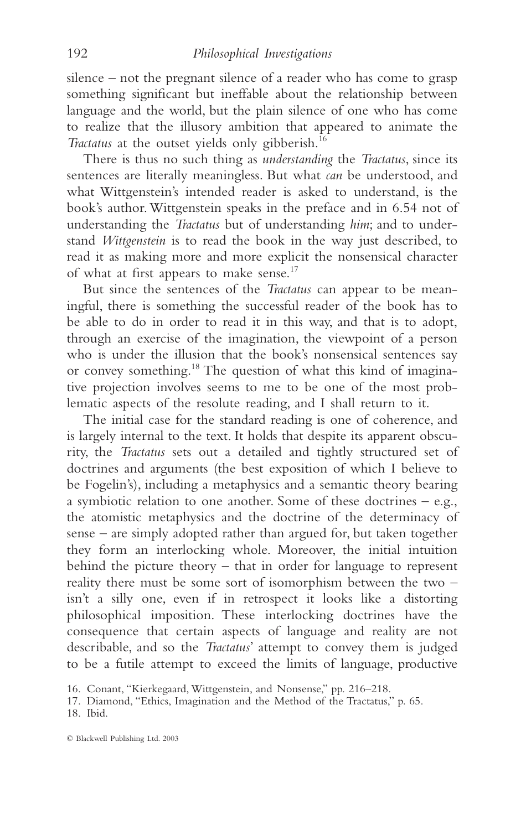silence – not the pregnant silence of a reader who has come to grasp something significant but ineffable about the relationship between language and the world, but the plain silence of one who has come to realize that the illusory ambition that appeared to animate the *Tractatus* at the outset yields only gibberish.<sup>16</sup>

There is thus no such thing as *understanding* the *Tractatus*, since its sentences are literally meaningless. But what *can* be understood, and what Wittgenstein's intended reader is asked to understand, is the book's author.Wittgenstein speaks in the preface and in 6.54 not of understanding the *Tractatus* but of understanding *him*; and to understand *Wittgenstein* is to read the book in the way just described, to read it as making more and more explicit the nonsensical character of what at first appears to make sense.<sup>17</sup>

But since the sentences of the *Tractatus* can appear to be meaningful, there is something the successful reader of the book has to be able to do in order to read it in this way, and that is to adopt, through an exercise of the imagination, the viewpoint of a person who is under the illusion that the book's nonsensical sentences say or convey something.<sup>18</sup> The question of what this kind of imaginative projection involves seems to me to be one of the most problematic aspects of the resolute reading, and I shall return to it.

The initial case for the standard reading is one of coherence, and is largely internal to the text. It holds that despite its apparent obscurity, the *Tractatus* sets out a detailed and tightly structured set of doctrines and arguments (the best exposition of which I believe to be Fogelin's), including a metaphysics and a semantic theory bearing a symbiotic relation to one another. Some of these doctrines – e.g., the atomistic metaphysics and the doctrine of the determinacy of sense – are simply adopted rather than argued for, but taken together they form an interlocking whole. Moreover, the initial intuition behind the picture theory – that in order for language to represent reality there must be some sort of isomorphism between the two – isn't a silly one, even if in retrospect it looks like a distorting philosophical imposition. These interlocking doctrines have the consequence that certain aspects of language and reality are not describable, and so the *Tractatus*' attempt to convey them is judged to be a futile attempt to exceed the limits of language, productive

<sup>16.</sup> Conant, "Kierkegaard, Wittgenstein, and Nonsense," pp. 216–218.

<sup>17.</sup> Diamond, "Ethics, Imagination and the Method of the Tractatus," p. 65.

<sup>18.</sup> Ibid.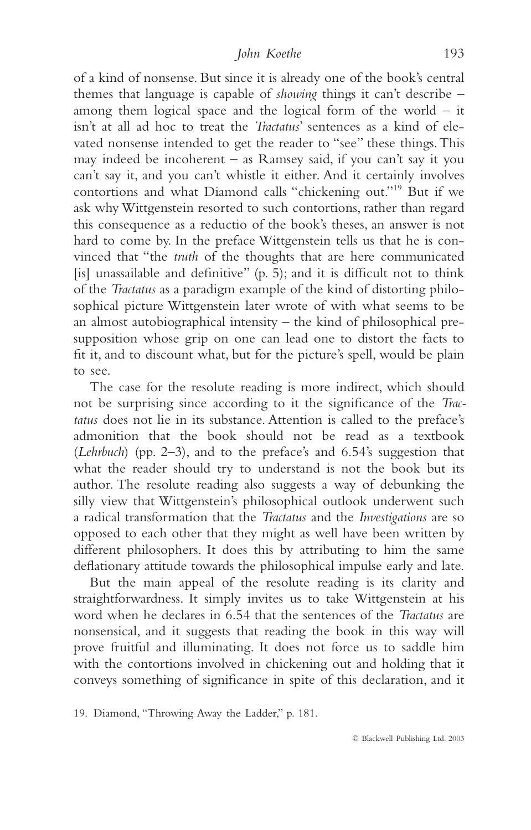of a kind of nonsense. But since it is already one of the book's central themes that language is capable of *showing* things it can't describe – among them logical space and the logical form of the world – it isn't at all ad hoc to treat the *Tractatus*' sentences as a kind of elevated nonsense intended to get the reader to "see" these things.This may indeed be incoherent – as Ramsey said, if you can't say it you can't say it, and you can't whistle it either. And it certainly involves contortions and what Diamond calls "chickening out."19 But if we ask why Wittgenstein resorted to such contortions, rather than regard this consequence as a reductio of the book's theses, an answer is not hard to come by. In the preface Wittgenstein tells us that he is convinced that "the *truth* of the thoughts that are here communicated [is] unassailable and definitive" (p. 5); and it is difficult not to think of the *Tractatus* as a paradigm example of the kind of distorting philosophical picture Wittgenstein later wrote of with what seems to be an almost autobiographical intensity – the kind of philosophical presupposition whose grip on one can lead one to distort the facts to fit it, and to discount what, but for the picture's spell, would be plain to see.

The case for the resolute reading is more indirect, which should not be surprising since according to it the significance of the *Tractatus* does not lie in its substance. Attention is called to the preface's admonition that the book should not be read as a textbook (*Lehrbuch*) (pp. 2–3), and to the preface's and 6.54's suggestion that what the reader should try to understand is not the book but its author. The resolute reading also suggests a way of debunking the silly view that Wittgenstein's philosophical outlook underwent such a radical transformation that the *Tractatus* and the *Investigations* are so opposed to each other that they might as well have been written by different philosophers. It does this by attributing to him the same deflationary attitude towards the philosophical impulse early and late.

But the main appeal of the resolute reading is its clarity and straightforwardness. It simply invites us to take Wittgenstein at his word when he declares in 6.54 that the sentences of the *Tractatus* are nonsensical, and it suggests that reading the book in this way will prove fruitful and illuminating. It does not force us to saddle him with the contortions involved in chickening out and holding that it conveys something of significance in spite of this declaration, and it

<sup>19.</sup> Diamond, "Throwing Away the Ladder," p. 181.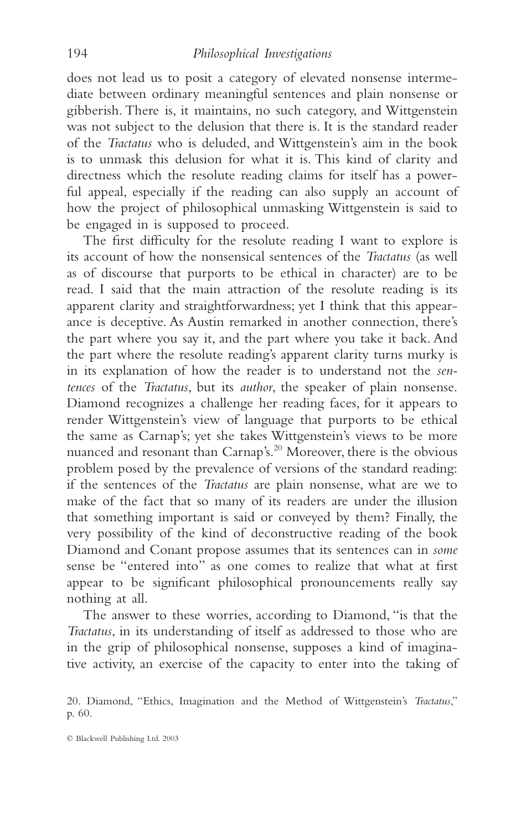does not lead us to posit a category of elevated nonsense intermediate between ordinary meaningful sentences and plain nonsense or gibberish. There is, it maintains, no such category, and Wittgenstein was not subject to the delusion that there is. It is the standard reader of the *Tractatus* who is deluded, and Wittgenstein's aim in the book is to unmask this delusion for what it is. This kind of clarity and directness which the resolute reading claims for itself has a powerful appeal, especially if the reading can also supply an account of how the project of philosophical unmasking Wittgenstein is said to be engaged in is supposed to proceed.

The first difficulty for the resolute reading I want to explore is its account of how the nonsensical sentences of the *Tractatus* (as well as of discourse that purports to be ethical in character) are to be read. I said that the main attraction of the resolute reading is its apparent clarity and straightforwardness; yet I think that this appearance is deceptive. As Austin remarked in another connection, there's the part where you say it, and the part where you take it back. And the part where the resolute reading's apparent clarity turns murky is in its explanation of how the reader is to understand not the *sentences* of the *Tractatus*, but its *author*, the speaker of plain nonsense. Diamond recognizes a challenge her reading faces, for it appears to render Wittgenstein's view of language that purports to be ethical the same as Carnap's; yet she takes Wittgenstein's views to be more nuanced and resonant than Carnap's.<sup>20</sup> Moreover, there is the obvious problem posed by the prevalence of versions of the standard reading: if the sentences of the *Tractatus* are plain nonsense, what are we to make of the fact that so many of its readers are under the illusion that something important is said or conveyed by them? Finally, the very possibility of the kind of deconstructive reading of the book Diamond and Conant propose assumes that its sentences can in *some* sense be "entered into" as one comes to realize that what at first appear to be significant philosophical pronouncements really say nothing at all.

The answer to these worries, according to Diamond, "is that the *Tractatus*, in its understanding of itself as addressed to those who are in the grip of philosophical nonsense, supposes a kind of imaginative activity, an exercise of the capacity to enter into the taking of

<sup>20.</sup> Diamond, "Ethics, Imagination and the Method of Wittgenstein's *Tractatus*," p. 60.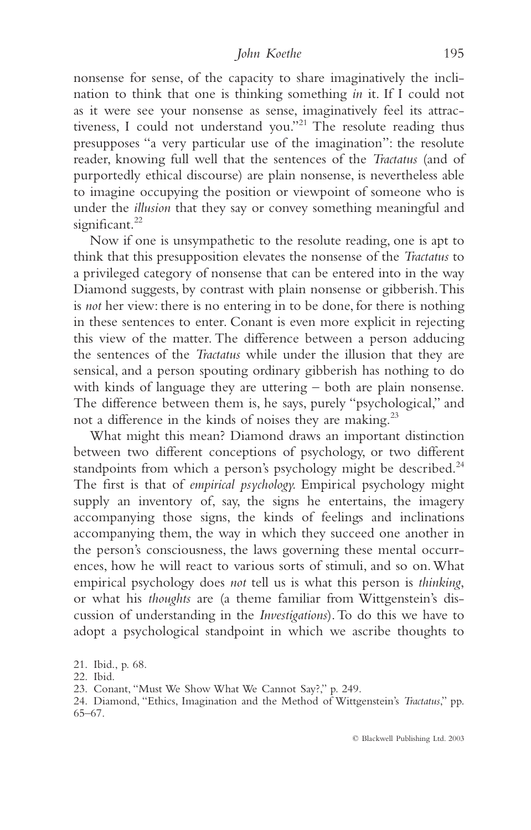nonsense for sense, of the capacity to share imaginatively the inclination to think that one is thinking something *in* it. If I could not as it were see your nonsense as sense, imaginatively feel its attractiveness, I could not understand you."<sup>21</sup> The resolute reading thus presupposes "a very particular use of the imagination": the resolute reader, knowing full well that the sentences of the *Tractatus* (and of purportedly ethical discourse) are plain nonsense, is nevertheless able to imagine occupying the position or viewpoint of someone who is under the *illusion* that they say or convey something meaningful and significant.<sup>22</sup>

Now if one is unsympathetic to the resolute reading, one is apt to think that this presupposition elevates the nonsense of the *Tractatus* to a privileged category of nonsense that can be entered into in the way Diamond suggests, by contrast with plain nonsense or gibberish.This is *not* her view: there is no entering in to be done, for there is nothing in these sentences to enter. Conant is even more explicit in rejecting this view of the matter. The difference between a person adducing the sentences of the *Tractatus* while under the illusion that they are sensical, and a person spouting ordinary gibberish has nothing to do with kinds of language they are uttering – both are plain nonsense. The difference between them is, he says, purely "psychological," and not a difference in the kinds of noises they are making.<sup>23</sup>

What might this mean? Diamond draws an important distinction between two different conceptions of psychology, or two different standpoints from which a person's psychology might be described.<sup>24</sup> The first is that of *empirical psychology.* Empirical psychology might supply an inventory of, say, the signs he entertains, the imagery accompanying those signs, the kinds of feelings and inclinations accompanying them, the way in which they succeed one another in the person's consciousness, the laws governing these mental occurrences, how he will react to various sorts of stimuli, and so on.What empirical psychology does *not* tell us is what this person is *thinking*, or what his *thoughts* are (a theme familiar from Wittgenstein's discussion of understanding in the *Investigations*).To do this we have to adopt a psychological standpoint in which we ascribe thoughts to

<sup>21.</sup> Ibid., p. 68.

<sup>22.</sup> Ibid.

<sup>23.</sup> Conant, "Must We Show What We Cannot Say?," p. 249.

<sup>24.</sup> Diamond, "Ethics, Imagination and the Method of Wittgenstein's *Tractatus*," pp. 65–67.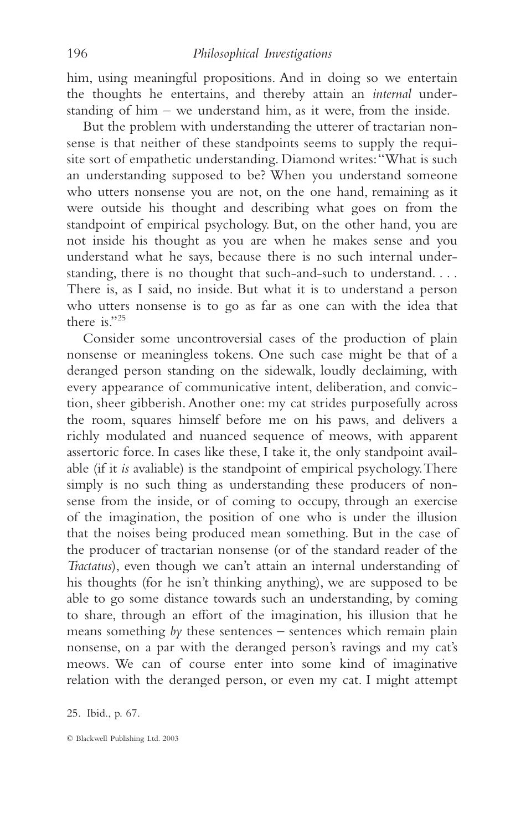him, using meaningful propositions. And in doing so we entertain the thoughts he entertains, and thereby attain an *internal* understanding of him – we understand him, as it were, from the inside.

But the problem with understanding the utterer of tractarian nonsense is that neither of these standpoints seems to supply the requisite sort of empathetic understanding. Diamond writes:"What is such an understanding supposed to be? When you understand someone who utters nonsense you are not, on the one hand, remaining as it were outside his thought and describing what goes on from the standpoint of empirical psychology. But, on the other hand, you are not inside his thought as you are when he makes sense and you understand what he says, because there is no such internal understanding, there is no thought that such-and-such to understand. . . . There is, as I said, no inside. But what it is to understand a person who utters nonsense is to go as far as one can with the idea that there is."25

Consider some uncontroversial cases of the production of plain nonsense or meaningless tokens. One such case might be that of a deranged person standing on the sidewalk, loudly declaiming, with every appearance of communicative intent, deliberation, and conviction, sheer gibberish. Another one: my cat strides purposefully across the room, squares himself before me on his paws, and delivers a richly modulated and nuanced sequence of meows, with apparent assertoric force. In cases like these, I take it, the only standpoint available (if it *is* avaliable) is the standpoint of empirical psychology.There simply is no such thing as understanding these producers of nonsense from the inside, or of coming to occupy, through an exercise of the imagination, the position of one who is under the illusion that the noises being produced mean something. But in the case of the producer of tractarian nonsense (or of the standard reader of the *Tractatus*), even though we can't attain an internal understanding of his thoughts (for he isn't thinking anything), we are supposed to be able to go some distance towards such an understanding, by coming to share, through an effort of the imagination, his illusion that he means something *by* these sentences – sentences which remain plain nonsense, on a par with the deranged person's ravings and my cat's meows. We can of course enter into some kind of imaginative relation with the deranged person, or even my cat. I might attempt

25. Ibid., p. 67.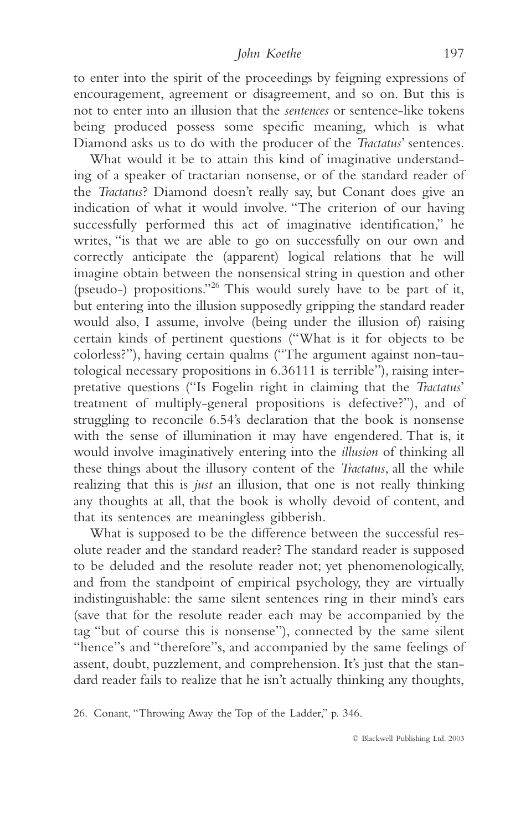*John Koethe* 197

to enter into the spirit of the proceedings by feigning expressions of encouragement, agreement or disagreement, and so on. But this is not to enter into an illusion that the *sentences* or sentence-like tokens being produced possess some specific meaning, which is what Diamond asks us to do with the producer of the *Tractatus*' sentences.

What would it be to attain this kind of imaginative understanding of a speaker of tractarian nonsense, or of the standard reader of the *Tractatus*? Diamond doesn't really say, but Conant does give an indication of what it would involve. "The criterion of our having successfully performed this act of imaginative identification," he writes, "is that we are able to go on successfully on our own and correctly anticipate the (apparent) logical relations that he will imagine obtain between the nonsensical string in question and other (pseudo-) propositions."26 This would surely have to be part of it, but entering into the illusion supposedly gripping the standard reader would also, I assume, involve (being under the illusion of) raising certain kinds of pertinent questions ("What is it for objects to be colorless?"), having certain qualms ("The argument against non-tautological necessary propositions in 6.36111 is terrible"), raising interpretative questions ("Is Fogelin right in claiming that the *Tractatus*' treatment of multiply-general propositions is defective?"), and of struggling to reconcile 6.54's declaration that the book is nonsense with the sense of illumination it may have engendered. That is, it would involve imaginatively entering into the *illusion* of thinking all these things about the illusory content of the *Tractatus*, all the while realizing that this is *just* an illusion, that one is not really thinking any thoughts at all, that the book is wholly devoid of content, and that its sentences are meaningless gibberish.

What is supposed to be the difference between the successful resolute reader and the standard reader? The standard reader is supposed to be deluded and the resolute reader not; yet phenomenologically, and from the standpoint of empirical psychology, they are virtually indistinguishable: the same silent sentences ring in their mind's ears (save that for the resolute reader each may be accompanied by the tag "but of course this is nonsense"), connected by the same silent "hence"s and "therefore"s, and accompanied by the same feelings of assent, doubt, puzzlement, and comprehension. It's just that the standard reader fails to realize that he isn't actually thinking any thoughts,

<sup>26.</sup> Conant, "Throwing Away the Top of the Ladder," p. 346.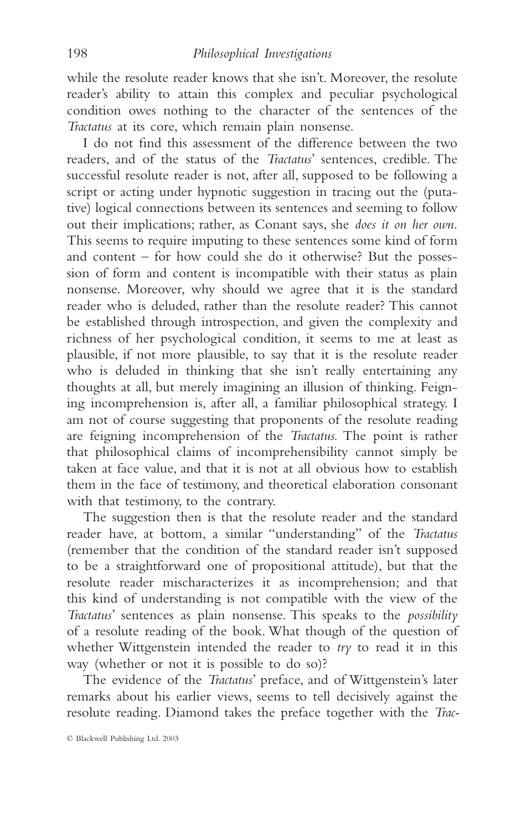while the resolute reader knows that she isn't. Moreover, the resolute reader's ability to attain this complex and peculiar psychological condition owes nothing to the character of the sentences of the *Tractatus* at its core, which remain plain nonsense.

I do not find this assessment of the difference between the two readers, and of the status of the *Tractatus*' sentences, credible. The successful resolute reader is not, after all, supposed to be following a script or acting under hypnotic suggestion in tracing out the (putative) logical connections between its sentences and seeming to follow out their implications; rather, as Conant says, she *does it on her own*. This seems to require imputing to these sentences some kind of form and content – for how could she do it otherwise? But the possession of form and content is incompatible with their status as plain nonsense. Moreover, why should we agree that it is the standard reader who is deluded, rather than the resolute reader? This cannot be established through introspection, and given the complexity and richness of her psychological condition, it seems to me at least as plausible, if not more plausible, to say that it is the resolute reader who is deluded in thinking that she isn't really entertaining any thoughts at all, but merely imagining an illusion of thinking. Feigning incomprehension is, after all, a familiar philosophical strategy. I am not of course suggesting that proponents of the resolute reading are feigning incomprehension of the *Tractatus.* The point is rather that philosophical claims of incomprehensibility cannot simply be taken at face value, and that it is not at all obvious how to establish them in the face of testimony, and theoretical elaboration consonant with that testimony, to the contrary.

The suggestion then is that the resolute reader and the standard reader have, at bottom, a similar "understanding" of the *Tractatus* (remember that the condition of the standard reader isn't supposed to be a straightforward one of propositional attitude), but that the resolute reader mischaracterizes it as incomprehension; and that this kind of understanding is not compatible with the view of the *Tractatus*' sentences as plain nonsense. This speaks to the *possibility* of a resolute reading of the book. What though of the question of whether Wittgenstein intended the reader to *try* to read it in this way (whether or not it is possible to do so)?

The evidence of the *Tractatus*' preface, and of Wittgenstein's later remarks about his earlier views, seems to tell decisively against the resolute reading. Diamond takes the preface together with the *Trac-*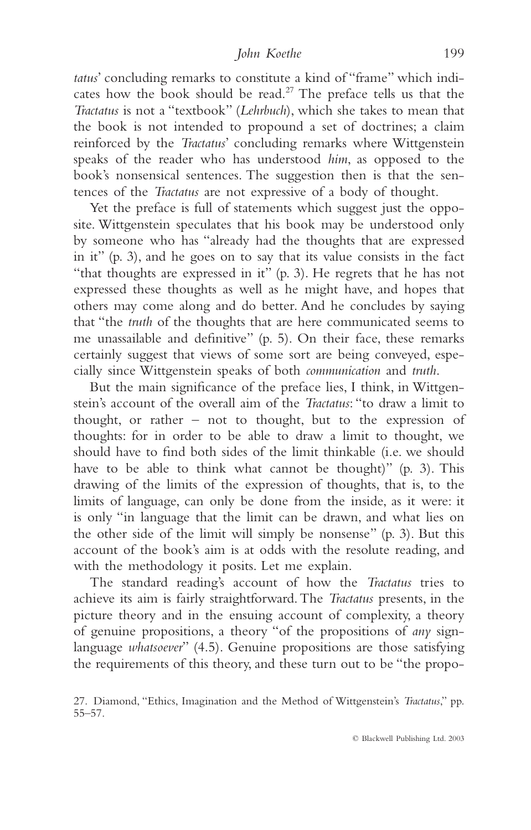*John Koethe* 199

*tatus*' concluding remarks to constitute a kind of "frame" which indicates how the book should be read.<sup>27</sup> The preface tells us that the *Tractatus* is not a "textbook" (*Lehrbuch*), which she takes to mean that the book is not intended to propound a set of doctrines; a claim reinforced by the *Tractatus*' concluding remarks where Wittgenstein speaks of the reader who has understood *him*, as opposed to the book's nonsensical sentences. The suggestion then is that the sentences of the *Tractatus* are not expressive of a body of thought.

Yet the preface is full of statements which suggest just the opposite. Wittgenstein speculates that his book may be understood only by someone who has "already had the thoughts that are expressed in it" (p. 3), and he goes on to say that its value consists in the fact "that thoughts are expressed in it" (p. 3). He regrets that he has not expressed these thoughts as well as he might have, and hopes that others may come along and do better. And he concludes by saying that "the *truth* of the thoughts that are here communicated seems to me unassailable and definitive" (p. 5). On their face, these remarks certainly suggest that views of some sort are being conveyed, especially since Wittgenstein speaks of both *communication* and *truth*.

But the main significance of the preface lies, I think, in Wittgenstein's account of the overall aim of the *Tractatus*: "to draw a limit to thought, or rather – not to thought, but to the expression of thoughts: for in order to be able to draw a limit to thought, we should have to find both sides of the limit thinkable (i.e. we should have to be able to think what cannot be thought)" (p. 3). This drawing of the limits of the expression of thoughts, that is, to the limits of language, can only be done from the inside, as it were: it is only "in language that the limit can be drawn, and what lies on the other side of the limit will simply be nonsense" (p. 3). But this account of the book's aim is at odds with the resolute reading, and with the methodology it posits. Let me explain.

The standard reading's account of how the *Tractatus* tries to achieve its aim is fairly straightforward. The *Tractatus* presents, in the picture theory and in the ensuing account of complexity, a theory of genuine propositions, a theory "of the propositions of *any* signlanguage *whatsoever*" (4.5). Genuine propositions are those satisfying the requirements of this theory, and these turn out to be "the propo-

<sup>27.</sup> Diamond, "Ethics, Imagination and the Method of Wittgenstein's *Tractatus*," pp. 55–57.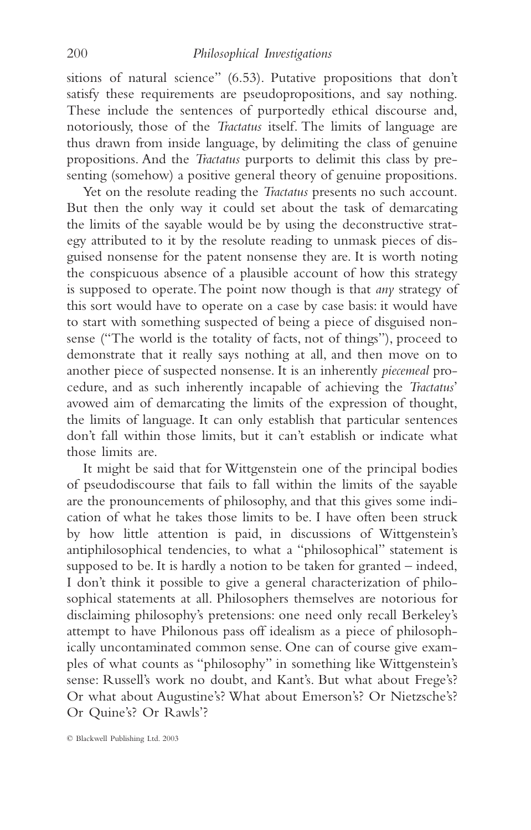sitions of natural science" (6.53). Putative propositions that don't satisfy these requirements are pseudopropositions, and say nothing. These include the sentences of purportedly ethical discourse and, notoriously, those of the *Tractatus* itself. The limits of language are thus drawn from inside language, by delimiting the class of genuine propositions. And the *Tractatus* purports to delimit this class by presenting (somehow) a positive general theory of genuine propositions.

Yet on the resolute reading the *Tractatus* presents no such account. But then the only way it could set about the task of demarcating the limits of the sayable would be by using the deconstructive strategy attributed to it by the resolute reading to unmask pieces of disguised nonsense for the patent nonsense they are. It is worth noting the conspicuous absence of a plausible account of how this strategy is supposed to operate.The point now though is that *any* strategy of this sort would have to operate on a case by case basis: it would have to start with something suspected of being a piece of disguised nonsense ("The world is the totality of facts, not of things"), proceed to demonstrate that it really says nothing at all, and then move on to another piece of suspected nonsense. It is an inherently *piecemeal* procedure, and as such inherently incapable of achieving the *Tractatus*' avowed aim of demarcating the limits of the expression of thought, the limits of language. It can only establish that particular sentences don't fall within those limits, but it can't establish or indicate what those limits are.

It might be said that for Wittgenstein one of the principal bodies of pseudodiscourse that fails to fall within the limits of the sayable are the pronouncements of philosophy, and that this gives some indication of what he takes those limits to be. I have often been struck by how little attention is paid, in discussions of Wittgenstein's antiphilosophical tendencies, to what a "philosophical" statement is supposed to be. It is hardly a notion to be taken for granted – indeed, I don't think it possible to give a general characterization of philosophical statements at all. Philosophers themselves are notorious for disclaiming philosophy's pretensions: one need only recall Berkeley's attempt to have Philonous pass off idealism as a piece of philosophically uncontaminated common sense. One can of course give examples of what counts as "philosophy" in something like Wittgenstein's sense: Russell's work no doubt, and Kant's. But what about Frege's? Or what about Augustine's? What about Emerson's? Or Nietzsche's? Or Quine's? Or Rawls'?

<sup>©</sup> Blackwell Publishing Ltd. 2003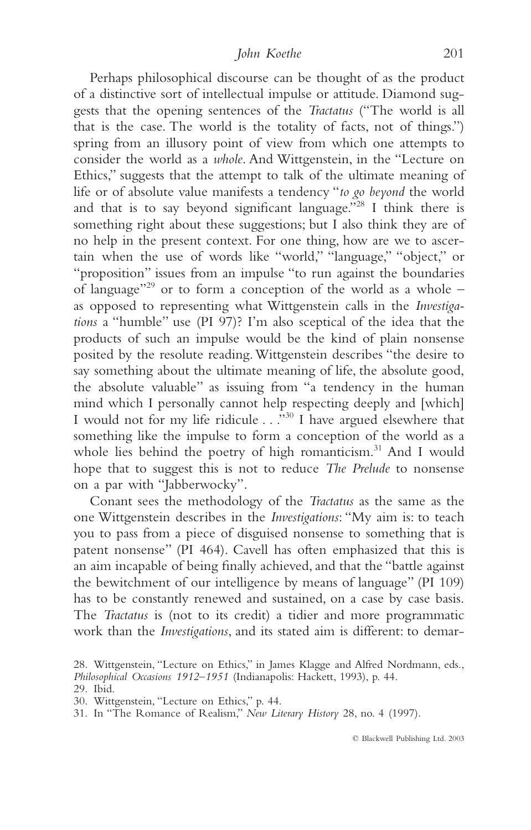*John Koethe* 201

Perhaps philosophical discourse can be thought of as the product of a distinctive sort of intellectual impulse or attitude. Diamond suggests that the opening sentences of the *Tractatus* ("The world is all that is the case. The world is the totality of facts, not of things.") spring from an illusory point of view from which one attempts to consider the world as a *whole*. And Wittgenstein, in the "Lecture on Ethics," suggests that the attempt to talk of the ultimate meaning of life or of absolute value manifests a tendency "*to go beyond* the world and that is to say beyond significant language."<sup>28</sup> I think there is something right about these suggestions; but I also think they are of no help in the present context. For one thing, how are we to ascertain when the use of words like "world," "language," "object," or "proposition" issues from an impulse "to run against the boundaries of language"<sup>29</sup> or to form a conception of the world as a whole  $$ as opposed to representing what Wittgenstein calls in the *Investigations* a "humble" use (PI 97)? I'm also sceptical of the idea that the products of such an impulse would be the kind of plain nonsense posited by the resolute reading.Wittgenstein describes "the desire to say something about the ultimate meaning of life, the absolute good, the absolute valuable" as issuing from "a tendency in the human mind which I personally cannot help respecting deeply and [which] I would not for my life ridicule  $\ldots$  ...<sup>530</sup> I have argued elsewhere that something like the impulse to form a conception of the world as a whole lies behind the poetry of high romanticism.<sup>31</sup> And I would hope that to suggest this is not to reduce *The Prelude* to nonsense on a par with "Jabberwocky".

Conant sees the methodology of the *Tractatus* as the same as the one Wittgenstein describes in the *Investigations*: "My aim is: to teach you to pass from a piece of disguised nonsense to something that is patent nonsense" (PI 464). Cavell has often emphasized that this is an aim incapable of being finally achieved, and that the "battle against the bewitchment of our intelligence by means of language" (PI 109) has to be constantly renewed and sustained, on a case by case basis. The *Tractatus* is (not to its credit) a tidier and more programmatic work than the *Investigations*, and its stated aim is different: to demar-

<sup>28.</sup> Wittgenstein, "Lecture on Ethics," in James Klagge and Alfred Nordmann, eds., *Philosophical Occasions 1912–1951* (Indianapolis: Hackett, 1993), p. 44. 29. Ibid.

<sup>30.</sup> Wittgenstein, "Lecture on Ethics," p. 44.

<sup>31.</sup> In "The Romance of Realism," *New Literary History* 28, no. 4 (1997).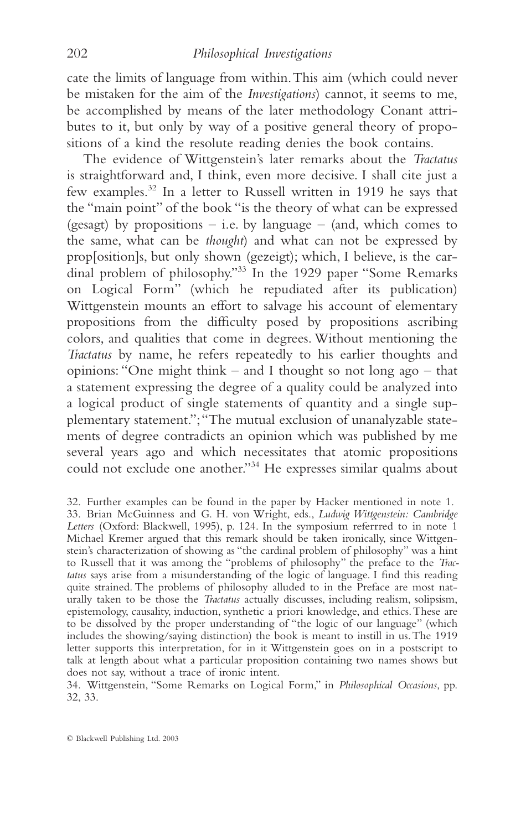cate the limits of language from within.This aim (which could never be mistaken for the aim of the *Investigations*) cannot, it seems to me, be accomplished by means of the later methodology Conant attributes to it, but only by way of a positive general theory of propositions of a kind the resolute reading denies the book contains.

The evidence of Wittgenstein's later remarks about the *Tractatus* is straightforward and, I think, even more decisive. I shall cite just a few examples.<sup>32</sup> In a letter to Russell written in 1919 he says that the "main point" of the book "is the theory of what can be expressed (gesagt) by propositions  $-$  i.e. by language  $-$  (and, which comes to the same, what can be *thought*) and what can not be expressed by prop[osition]s, but only shown (gezeigt); which, I believe, is the cardinal problem of philosophy."<sup>33</sup> In the 1929 paper "Some Remarks" on Logical Form" (which he repudiated after its publication) Wittgenstein mounts an effort to salvage his account of elementary propositions from the difficulty posed by propositions ascribing colors, and qualities that come in degrees. Without mentioning the *Tractatus* by name, he refers repeatedly to his earlier thoughts and opinions: "One might think – and I thought so not long ago – that a statement expressing the degree of a quality could be analyzed into a logical product of single statements of quantity and a single supplementary statement.";"The mutual exclusion of unanalyzable statements of degree contradicts an opinion which was published by me several years ago and which necessitates that atomic propositions could not exclude one another."<sup>34</sup> He expresses similar qualms about

<sup>32.</sup> Further examples can be found in the paper by Hacker mentioned in note 1. 33. Brian McGuinness and G. H. von Wright, eds., *Ludwig Wittgenstein: Cambridge Letters* (Oxford: Blackwell, 1995), p. 124. In the symposium referrred to in note 1 Michael Kremer argued that this remark should be taken ironically, since Wittgenstein's characterization of showing as "the cardinal problem of philosophy" was a hint to Russell that it was among the "problems of philosophy" the preface to the *Tractatus* says arise from a misunderstanding of the logic of language. I find this reading quite strained. The problems of philosophy alluded to in the Preface are most naturally taken to be those the *Tractatus* actually discusses, including realism, solipsism, epistemology, causality, induction, synthetic a priori knowledge, and ethics.These are to be dissolved by the proper understanding of "the logic of our language" (which includes the showing/saying distinction) the book is meant to instill in us.The 1919 letter supports this interpretation, for in it Wittgenstein goes on in a postscript to talk at length about what a particular proposition containing two names shows but does not say, without a trace of ironic intent.

<sup>34.</sup> Wittgenstein, "Some Remarks on Logical Form," in *Philosophical Occasions*, pp. 32, 33.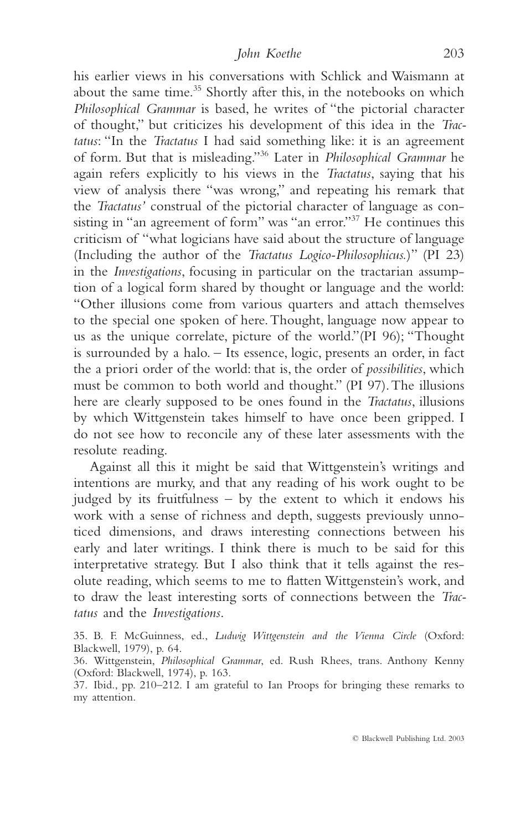his earlier views in his conversations with Schlick and Waismann at about the same time.<sup>35</sup> Shortly after this, in the notebooks on which *Philosophical Grammar* is based, he writes of "the pictorial character of thought," but criticizes his development of this idea in the *Tractatus*: "In the *Tractatus* I had said something like: it is an agreement of form. But that is misleading."36 Later in *Philosophical Grammar* he again refers explicitly to his views in the *Tractatus*, saying that his view of analysis there "was wrong," and repeating his remark that the *Tractatus'* construal of the pictorial character of language as consisting in "an agreement of form" was "an error."<sup>37</sup> He continues this criticism of "what logicians have said about the structure of language (Including the author of the *Tractatus Logico-Philosophicus.*)" (PI 23) in the *Investigations*, focusing in particular on the tractarian assumption of a logical form shared by thought or language and the world: "Other illusions come from various quarters and attach themselves to the special one spoken of here.Thought, language now appear to us as the unique correlate, picture of the world."(PI 96); "Thought is surrounded by a halo. – Its essence, logic, presents an order, in fact the a priori order of the world: that is, the order of *possibilities*, which must be common to both world and thought." (PI 97).The illusions here are clearly supposed to be ones found in the *Tractatus*, illusions by which Wittgenstein takes himself to have once been gripped. I do not see how to reconcile any of these later assessments with the resolute reading.

Against all this it might be said that Wittgenstein's writings and intentions are murky, and that any reading of his work ought to be judged by its fruitfulness – by the extent to which it endows his work with a sense of richness and depth, suggests previously unnoticed dimensions, and draws interesting connections between his early and later writings. I think there is much to be said for this interpretative strategy. But I also think that it tells against the resolute reading, which seems to me to flatten Wittgenstein's work, and to draw the least interesting sorts of connections between the *Tractatus* and the *Investigations*.

<sup>35.</sup> B. F. McGuinness, ed., *Ludwig Wittgenstein and the Vienna Circle* (Oxford: Blackwell, 1979), p. 64.

<sup>36.</sup> Wittgenstein, *Philosophical Grammar*, ed. Rush Rhees, trans. Anthony Kenny (Oxford: Blackwell, 1974), p. 163.

<sup>37.</sup> Ibid., pp. 210–212. I am grateful to Ian Proops for bringing these remarks to my attention.